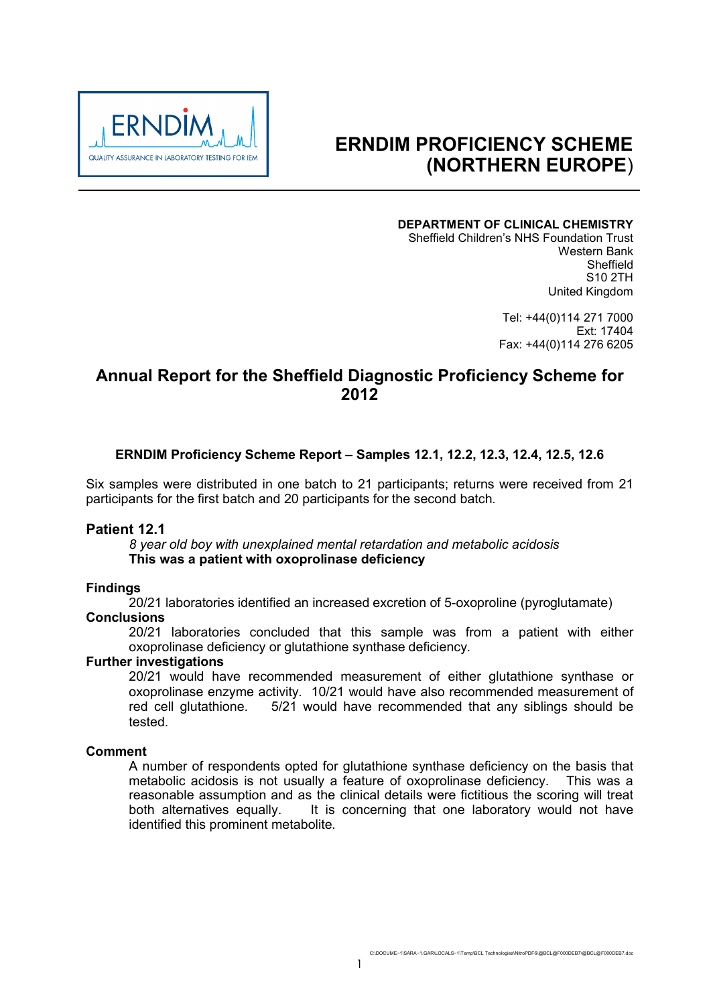

# **ERNDIM PROFICIENCY SCHEME (NORTHERN EUROPE**)

#### **DEPARTMENT OF CLINICAL CHEMISTRY**

Sheffield Children's NHS Foundation Trust Western Bank Sheffield S10 2TH United Kingdom

> Tel: +44(0)114 271 7000 Ext: 17404 Fax: +44(0)114 276 6205

## **Annual Report for the Sheffield Diagnostic Proficiency Scheme for 2012**

## **ERNDIM Proficiency Scheme Report – Samples 12.1, 12.2, 12.3, 12.4, 12.5, 12.6**

Six samples were distributed in one batch to 21 participants; returns were received from 21 participants for the first batch and 20 participants for the second batch.

#### **Patient 12.1**

*8 year old boy with unexplained mental retardation and metabolic acidosis* **This was a patient with oxoprolinase deficiency**

#### **Findings**

20/21 laboratories identified an increased excretion of 5-oxoproline (pyroglutamate) **Conclusions**

20/21 laboratories concluded that this sample was from a patient with either oxoprolinase deficiency or glutathione synthase deficiency.

## **Further investigations**

20/21 would have recommended measurement of either glutathione synthase or oxoprolinase enzyme activity. 10/21 would have also recommended measurement of red cell glutathione.5/21 would have recommended that any siblings should be tested.

#### **Comment**

A number of respondents opted for glutathione synthase deficiency on the basis that metabolic acidosis is not usually a feature of oxoprolinase deficiency. This was a reasonable assumption and as the clinical details were fictitious the scoring will treat both alternatives equally. It is concerning that one laboratory would not have identified this prominent metabolite.

C:\DOCUME~1\SARA~1.GAR\LOCALS~1\Temp\BCL Technologies\NitroPDF6\@BCL@F000DEB7\@BCL@F000DEB7.doc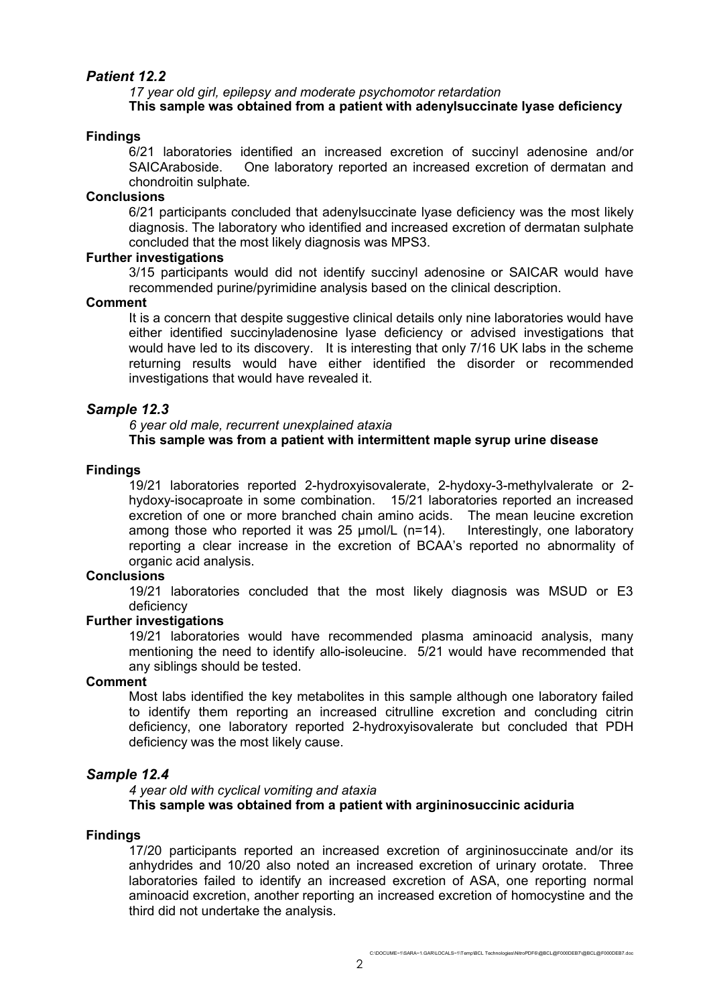## *Patient 12.2*

## *17 year old girl, epilepsy and moderate psychomotor retardation* **This sample was obtained from a patient with adenylsuccinate lyase deficiency**

## **Findings**

6/21 laboratories identified an increased excretion of succinyl adenosine and/or SAICAraboside. One laboratory reported an increased excretion of dermatan and chondroitin sulphate.

## **Conclusions**

6/21 participants concluded that adenylsuccinate lyase deficiency was the most likely diagnosis. The laboratory who identified and increased excretion of dermatan sulphate concluded that the most likely diagnosis was MPS3.

## **Further investigations**

3/15 participants would did not identify succinyl adenosine or SAICAR would have recommended purine/pyrimidine analysis based on the clinical description.

## **Comment**

It is a concern that despite suggestive clinical details only nine laboratories would have either identified succinyladenosine lyase deficiency or advised investigations that would have led to its discovery. It is interesting that only 7/16 UK labs in the scheme returning results would have either identified the disorder or recommended investigations that would have revealed it.

## *Sample 12.3*

*6 year old male, recurrent unexplained ataxia* **This sample was from a patient with intermittent maple syrup urine disease**

## **Findings**

19/21 laboratories reported 2-hydroxyisovalerate, 2-hydoxy-3-methylvalerate or 2 hydoxy-isocaproate in some combination. 15/21 laboratories reported an increased excretion of one or more branched chain amino acids. The mean leucine excretion among those who reported it was 25 umol/L (n=14). Interestingly, one laboratory reporting a clear increase in the excretion of BCAA's reported no abnormality of organic acid analysis.

## **Conclusions**

19/21 laboratories concluded that the most likely diagnosis was MSUD or E3 deficiency

## **Further investigations**

19/21 laboratories would have recommended plasma aminoacid analysis, many mentioning the need to identify allo-isoleucine. 5/21 would have recommended that any siblings should be tested.

## **Comment**

Most labs identified the key metabolites in this sample although one laboratory failed to identify them reporting an increased citrulline excretion and concluding citrin deficiency, one laboratory reported 2-hydroxyisovalerate but concluded that PDH deficiency was the most likely cause.

## *Sample 12.4*

*4 year old with cyclical vomiting and ataxia* **This sample was obtained from a patient with argininosuccinic aciduria**

#### **Findings**

17/20 participants reported an increased excretion of argininosuccinate and/or its anhydrides and 10/20 also noted an increased excretion of urinary orotate. Three laboratories failed to identify an increased excretion of ASA, one reporting normal aminoacid excretion, another reporting an increased excretion of homocystine and the third did not undertake the analysis.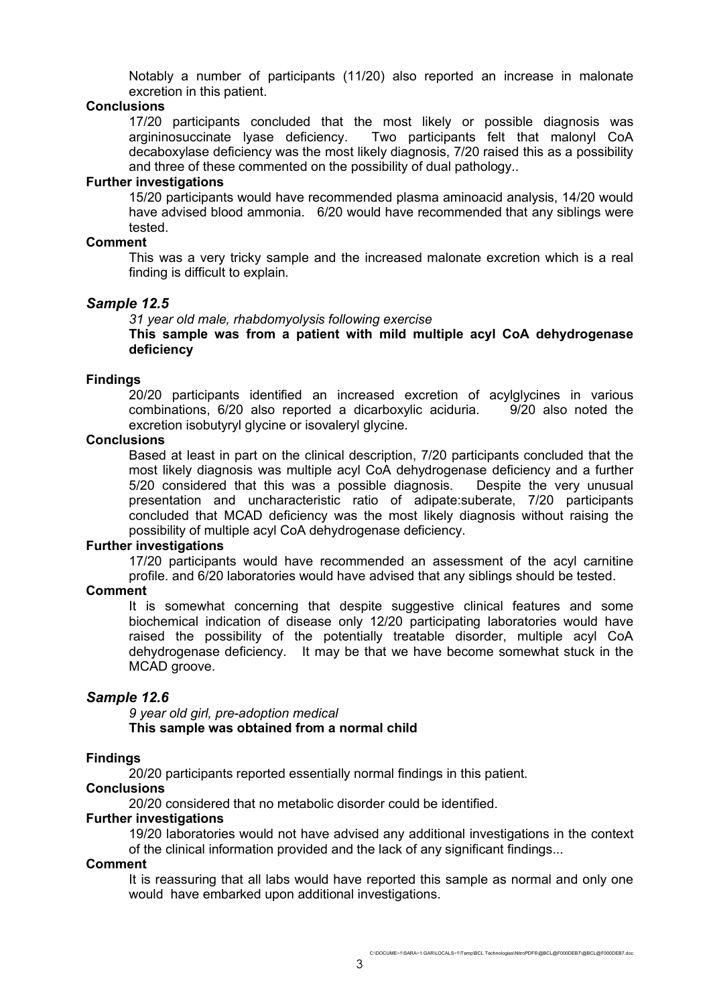Notably a number of participants (11/20) also reported an increase in malonate excretion in this patient.

#### **Conclusions**

17/20 participants concluded that the most likely or possible diagnosis was argininosuccinate lyase deficiency. Two participants felt that malonyl CoA decaboxylase deficiency was the most likely diagnosis, 7/20 raised this as a possibility and three of these commented on the possibility of dual pathology..

#### **Further investigations**

15/20 participants would have recommended plasma aminoacid analysis, 14/20 would have advised blood ammonia. 6/20 would have recommended that any siblings were tested.

#### **Comment**

This was a very tricky sample and the increased malonate excretion which is a real finding is difficult to explain.

#### *Sample 12.5*

*31 year old male, rhabdomyolysis following exercise*

**This sample was from a patient with mild multiple acyl CoA dehydrogenase deficiency**

#### **Findings**

20/20 participants identified an increased excretion of acylglycines in various combinations, 6/20 also reported a dicarboxylic aciduria. 9/20 also noted the excretion isobutyryl glycine or isovaleryl glycine.

#### **Conclusions**

Based at least in part on the clinical description, 7/20 participants concluded that the most likely diagnosis was multiple acyl CoA dehydrogenase deficiency and a further 5/20 considered that this was a possible diagnosis. Despite the very unusual presentation and uncharacteristic ratio of adipate:suberate, 7/20 participants concluded that MCAD deficiency was the most likely diagnosis without raising the possibility of multiple acyl CoA dehydrogenase deficiency.

#### **Further investigations**

17/20 participants would have recommended an assessment of the acyl carnitine profile. and 6/20 laboratories would have advised that any siblings should be tested.

#### **Comment**

It is somewhat concerning that despite suggestive clinical features and some biochemical indication of disease only 12/20 participating laboratories would have raised the possibility of the potentially treatable disorder, multiple acyl CoA dehydrogenase deficiency. It may be that we have become somewhat stuck in the MCAD groove.

## *Sample 12.6*

*9 year old girl, pre-adoption medical* **This sample was obtained from a normal child**

#### **Findings**

20/20 participants reported essentially normal findings in this patient.

## **Conclusions**

20/20 considered that no metabolic disorder could be identified.

#### **Further investigations**

19/20 laboratories would not have advised any additional investigations in the context of the clinical information provided and the lack of any significant findings...

## **Comment**

It is reassuring that all labs would have reported this sample as normal and only one would have embarked upon additional investigations.